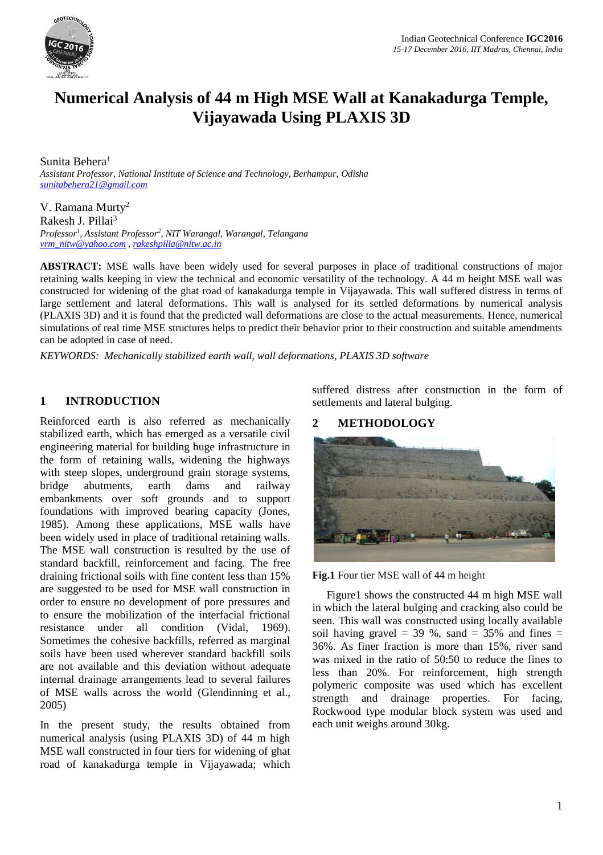

# **Numerical Analysis of 44 m High MSE Wall at Kanakadurga Temple, Vijayawada Using PLAXIS 3D**

Sunita Behera<sup>1</sup> *Assistant Professor, National Institute of Science and Technology, Berhampur, Odisha [sunitabehera21@gmail.com](mailto:sunitabehera21@gmail.com)*

V. Ramana Murty<sup>2</sup> Rakesh J. Pillai<sup>3</sup> *Professor<sup>1</sup> , Assistant Professor<sup>2</sup> , NIT Warangal, Warangal, Telangana [vrm\\_nitw@yahoo.com](mailto:vrm_nitw@yahoo.com) , [rakeshpilla@nitw.ac.in](mailto:rakeshpilla@nitw.ac.in)*

**ABSTRACT:** MSE walls have been widely used for several purposes in place of traditional constructions of major retaining walls keeping in view the technical and economic versatility of the technology. A 44 m height MSE wall was constructed for widening of the ghat road of kanakadurga temple in Vijayawada. This wall suffered distress in terms of large settlement and lateral deformations. This wall is analysed for its settled deformations by numerical analysis (PLAXIS 3D) and it is found that the predicted wall deformations are close to the actual measurements. Hence, numerical simulations of real time MSE structures helps to predict their behavior prior to their construction and suitable amendments can be adopted in case of need.

*KEYWORDS: Mechanically stabilized earth wall, wall deformations, PLAXIS 3D software*

## **1 INTRODUCTION**

Reinforced earth is also referred as mechanically stabilized earth, which has emerged as a versatile civil engineering material for building huge infrastructure in the form of retaining walls, widening the highways with steep slopes, underground grain storage systems, bridge abutments, earth dams and railway embankments over soft grounds and to support foundations with improved bearing capacity (Jones, 1985). Among these applications, MSE walls have been widely used in place of traditional retaining walls. The MSE wall construction is resulted by the use of standard backfill, reinforcement and facing. The free draining frictional soils with fine content less than 15% are suggested to be used for MSE wall construction in order to ensure no development of pore pressures and to ensure the mobilization of the interfacial frictional resistance under all condition (Vidal, 1969). Sometimes the cohesive backfills, referred as marginal soils have been used wherever standard backfill soils are not available and this deviation without adequate internal drainage arrangements lead to several failures of MSE walls across the world (Glendinning et al., 2005)

In the present study, the results obtained from numerical analysis (using PLAXIS 3D) of 44 m high MSE wall constructed in four tiers for widening of ghat road of kanakadurga temple in Vijayawada; which

suffered distress after construction in the form of settlements and lateral bulging.

#### **2 METHODOLOGY**



**Fig.1** Four tier MSE wall of 44 m height

 Figure1 shows the constructed 44 m high MSE wall in which the lateral bulging and cracking also could be seen. This wall was constructed using locally available soil having gravel =  $39\%$ , sand =  $35\%$  and fines = 36%. As finer fraction is more than 15%, river sand was mixed in the ratio of 50:50 to reduce the fines to less than 20%. For reinforcement, high strength polymeric composite was used which has excellent strength and drainage properties. For facing, Rockwood type modular block system was used and each unit weighs around 30kg.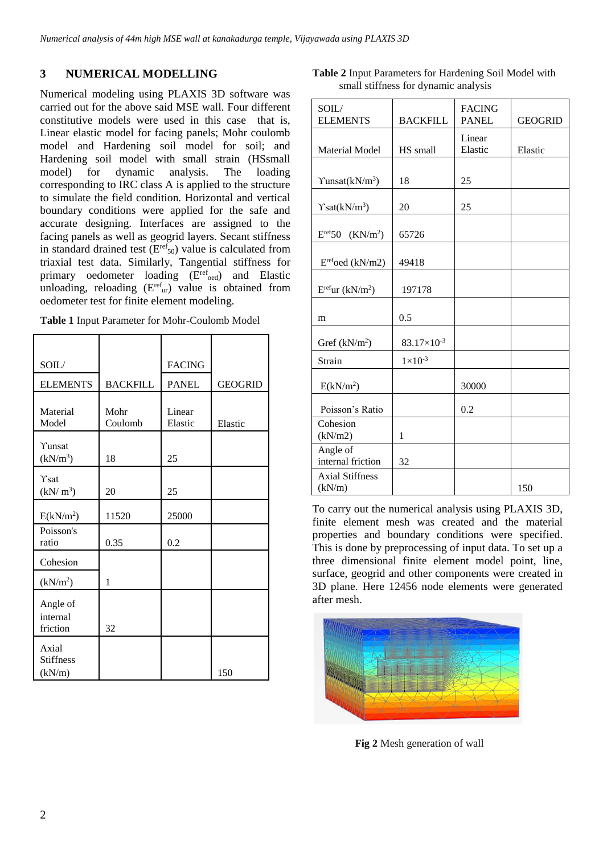# **3 NUMERICAL MODELLING**

Numerical modeling using PLAXIS 3D software was carried out for the above said MSE wall. Four different constitutive models were used in this case that is, Linear elastic model for facing panels; Mohr coulomb model and Hardening soil model for soil; and Hardening soil model with small strain (HSsmall model) for dynamic analysis. The loading corresponding to IRC class A is applied to the structure to simulate the field condition. Horizontal and vertical boundary conditions were applied for the safe and accurate designing. Interfaces are assigned to the facing panels as well as geogrid layers. Secant stiffness in standard drained test  $(E^{ref}_{50})$  value is calculated from triaxial test data. Similarly, Tangential stiffness for primary oedometer loading (E<sup>ref</sup>oed) and Elastic unloading, reloading  $(E^{\text{ref}}_{\text{ur}})$  value is obtained from oedometer test for finite element modeling.

| <b>Table 1</b> Input Parameter for Mohr-Coulomb Model |  |  |  |
|-------------------------------------------------------|--|--|--|
|                                                       |  |  |  |

| SOIL/                               |                 | <b>FACING</b>     |                |
|-------------------------------------|-----------------|-------------------|----------------|
| <b>ELEMENTS</b>                     | <b>BACKFILL</b> | <b>PANEL</b>      | <b>GEOGRID</b> |
| Material<br>Model                   | Mohr<br>Coulomb | Linear<br>Elastic | Elastic        |
| Yunsat<br>(kN/m <sup>3</sup> )      | 18              | 25                |                |
| Ysat<br>(kN/m <sup>3</sup> )        | 20              | 25                |                |
| E(kN/m <sup>2</sup> )               | 11520           | 25000             |                |
| Poisson's<br>ratio                  | 0.35            | 0.2               |                |
| Cohesion                            |                 |                   |                |
| (kN/m <sup>2</sup> )                | 1               |                   |                |
| Angle of<br>internal<br>friction    | 32              |                   |                |
| Axial<br><b>Stiffness</b><br>(kN/m) |                 |                   | 150            |

| <b>Table 2</b> Input Parameters for Hardening Soil Model with |  |
|---------------------------------------------------------------|--|
| small stiffness for dynamic analysis                          |  |

| SOIL/<br><b>ELEMENTS</b>                | <b>BACKFILL</b>      | <b>FACING</b><br><b>PANEL</b> | <b>GEOGRID</b> |
|-----------------------------------------|----------------------|-------------------------------|----------------|
| <b>Material Model</b>                   | HS small             | Linear<br>Elastic             | Elastic        |
| $\text{Yunsat}(kN/m^3)$                 | 18                   | 25                            |                |
| $\text{Ysat}(kN/m^3)$                   | 20                   | 25                            |                |
| $E^{\text{ref}}50$ (KN/m <sup>2</sup> ) | 65726                |                               |                |
| $Eref$ oed (kN/m2)                      | 49418                |                               |                |
| $E^{ref}$ ur (k $N/m^2$ )               | 197178               |                               |                |
| m                                       | 0.5                  |                               |                |
| Gref $(kN/m2)$                          | $83.17\times10^{-3}$ |                               |                |
| Strain                                  | $1 \times 10^{-3}$   |                               |                |
| E(kN/m <sup>2</sup> )                   |                      | 30000                         |                |
| Poisson's Ratio                         |                      | 0.2                           |                |
| Cohesion<br>(kN/m2)                     | 1                    |                               |                |
| Angle of<br>internal friction           | 32                   |                               |                |
| <b>Axial Stiffness</b><br>(kN/m)        |                      |                               | 150            |

To carry out the numerical analysis using PLAXIS 3D, finite element mesh was created and the material properties and boundary conditions were specified. This is done by preprocessing of input data. To set up a three dimensional finite element model point, line, surface, geogrid and other components were created in 3D plane. Here 12456 node elements were generated after mesh.



 **Fig 2** Mesh generation of wall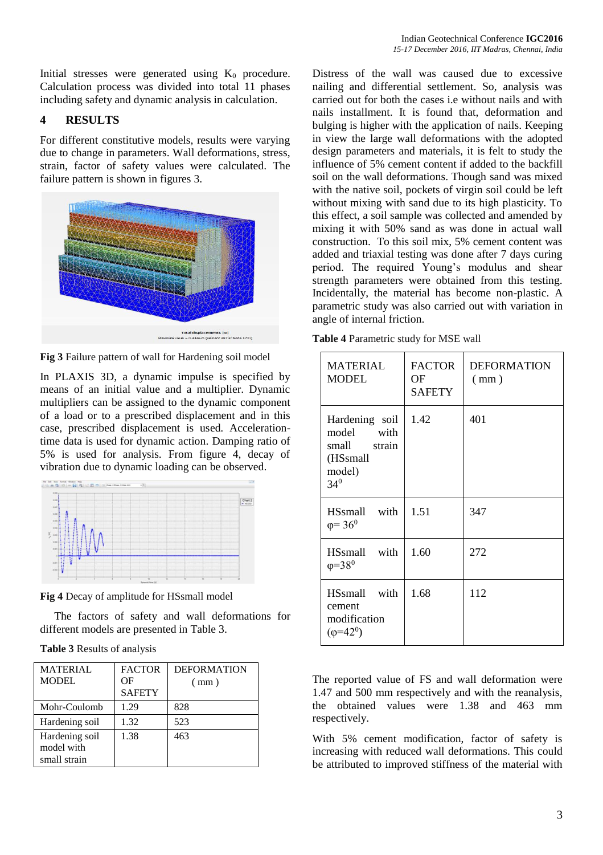Initial stresses were generated using  $K_0$  procedure. Calculation process was divided into total 11 phases including safety and dynamic analysis in calculation.

## **4 RESULTS**

For different constitutive models, results were varying due to change in parameters. Wall deformations, stress, strain, factor of safety values were calculated. The failure pattern is shown in figures 3.



**Fig 3** Failure pattern of wall for Hardening soil model

In PLAXIS 3D, a dynamic impulse is specified by means of an initial value and a multiplier. Dynamic multipliers can be assigned to the dynamic component of a load or to a prescribed displacement and in this case, prescribed displacement is used. Accelerationtime data is used for dynamic action. Damping ratio of 5% is used for analysis. From figure 4, decay of vibration due to dynamic loading can be observed.



**Fig 4** Decay of amplitude for HSsmall model

 The factors of safety and wall deformations for different models are presented in Table 3.

**Table 3** Results of analysis

| <b>MATERIAL</b>                              | <b>FACTOR</b> | <b>DEFORMATION</b> |
|----------------------------------------------|---------------|--------------------|
| MODEL.                                       | ΩF            | (mm)               |
|                                              | <b>SAFETY</b> |                    |
| Mohr-Coulomb                                 | 1.29          | 828                |
| Hardening soil                               | 1.32          | 523                |
| Hardening soil<br>model with<br>small strain | 1.38          | 463                |

Distress of the wall was caused due to excessive nailing and differential settlement. So, analysis was carried out for both the cases i.e without nails and with nails installment. It is found that, deformation and bulging is higher with the application of nails. Keeping in view the large wall deformations with the adopted design parameters and materials, it is felt to study the influence of 5% cement content if added to the backfill soil on the wall deformations. Though sand was mixed with the native soil, pockets of virgin soil could be left without mixing with sand due to its high plasticity. To this effect, a soil sample was collected and amended by mixing it with 50% sand as was done in actual wall construction. To this soil mix, 5% cement content was added and triaxial testing was done after 7 days curing period. The required Young's modulus and shear strength parameters were obtained from this testing. Incidentally, the material has become non-plastic. A parametric study was also carried out with variation in angle of internal friction.

| Table 4 Parametric study for MSE wall |  |  |  |
|---------------------------------------|--|--|--|
|---------------------------------------|--|--|--|

| <b>MATERIAL</b><br><b>MODEL</b>                                                   | <b>FACTOR</b><br>ОF<br><b>SAFETY</b> | <b>DEFORMATION</b><br>(mm) |
|-----------------------------------------------------------------------------------|--------------------------------------|----------------------------|
| Hardening soil<br>model<br>with<br>small strain<br>(HSsmall<br>model)<br>$34^{0}$ | 1.42                                 | 401                        |
| HSsmall with<br>$\varphi = 36^0$                                                  | 1.51                                 | 347                        |
| HSsmall with<br>$\varphi = 38^\circ$                                              | 1.60                                 | 272                        |
| HSsmall with<br>cement<br>modification<br>$(\varphi = 42^0)$                      | 1.68                                 | 112                        |

The reported value of FS and wall deformation were 1.47 and 500 mm respectively and with the reanalysis, the obtained values were 1.38 and 463 mm respectively.

With 5% cement modification, factor of safety is increasing with reduced wall deformations. This could be attributed to improved stiffness of the material with